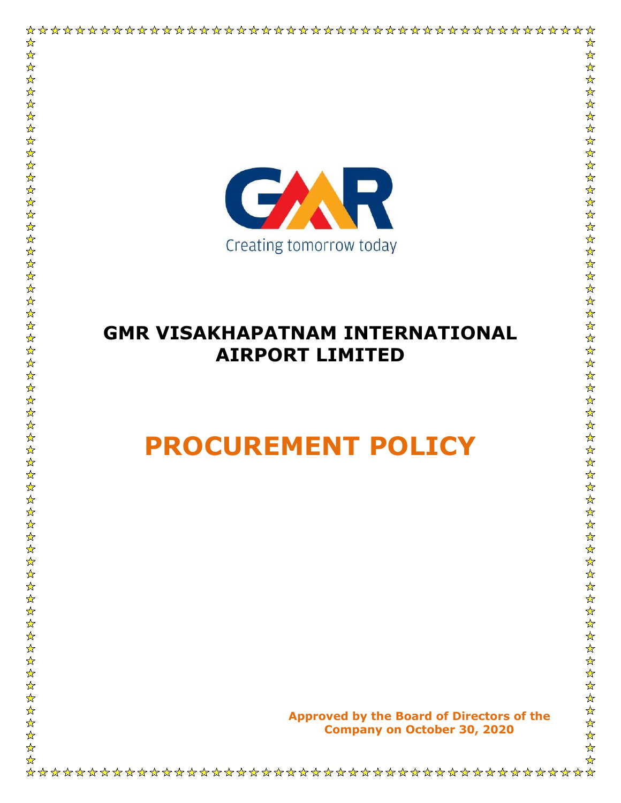

☆

 $\frac{1}{\sqrt{2}}$ 

## **GMR VISAKHAPATNAM INTERNATIONAL AIRPORT LIMITED**

# **PROCUREMENT POLICY**

 $\frac{1}{\lambda}$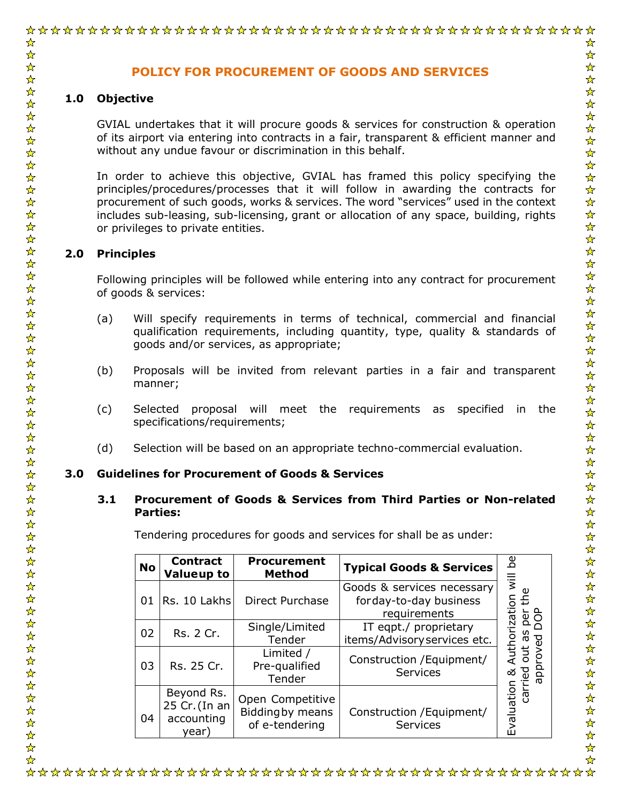#### ☆ **POLICY FOR PROCUREMENT OF GOODS AND SERVICES 1.0 Objective** GVIAL undertakes that it will procure goods & services for construction & operation of its airport via entering into contracts in a fair, transparent & efficient manner and without any undue favour or discrimination in this behalf. In order to achieve this objective, GVIAL has framed this policy specifying the principles/procedures/processes that it will follow in awarding the contracts for procurement of such goods, works & services. The word "services" used in the context includes sub-leasing, sub-licensing, grant or allocation of any space, building, rights or privileges to private entities. **2.0 Principles** Following principles will be followed while entering into any contract for procurement of goods & services: (a) Will specify requirements in terms of technical, commercial and financial qualification requirements, including quantity, type, quality & standards of goods and/or services, as appropriate; (b) Proposals will be invited from relevant parties in a fair and transparent manner; (c) Selected proposal will meet the requirements as specified in the specifications/requirements; (d) Selection will be based on an appropriate techno-commercial evaluation. **3.0 Guidelines for Procurement of Goods & Services 3.1 Procurement of Goods & Services from Third Parties or Non-related Parties:** Tendering procedures for goods and services for shall be as under: Ъе **No Contract Procurement** Evaluation & Authorization will be **Method Typical Goods & Services Valueup to** Evaluation & Authorization will Goods & services necessary  $\pmb{\mathsf{\omega}}$ carried out as per the carried out as per the<br>approved DOP 01 Rs. 10 Lakhs Direct Purchase forday-to-day business requirements approved DOP  $02 \begin{array}{|c|c|} Rs. 2 Cr. \end{array}$  Single/Limited IT eqpt./ proprietary Tender items/Advisoryservices etc. Limited / Construction /Equipment/ Pre-qualified  $03$  Rs. 25 Cr. **Services** Tender Beyond Rs. Open Competitive 25 Cr.(In an Biddingby means Construction /Equipment/ 04 accounting of e-tendering Servicesyear)  $\frac{1}{\sqrt{2}}$